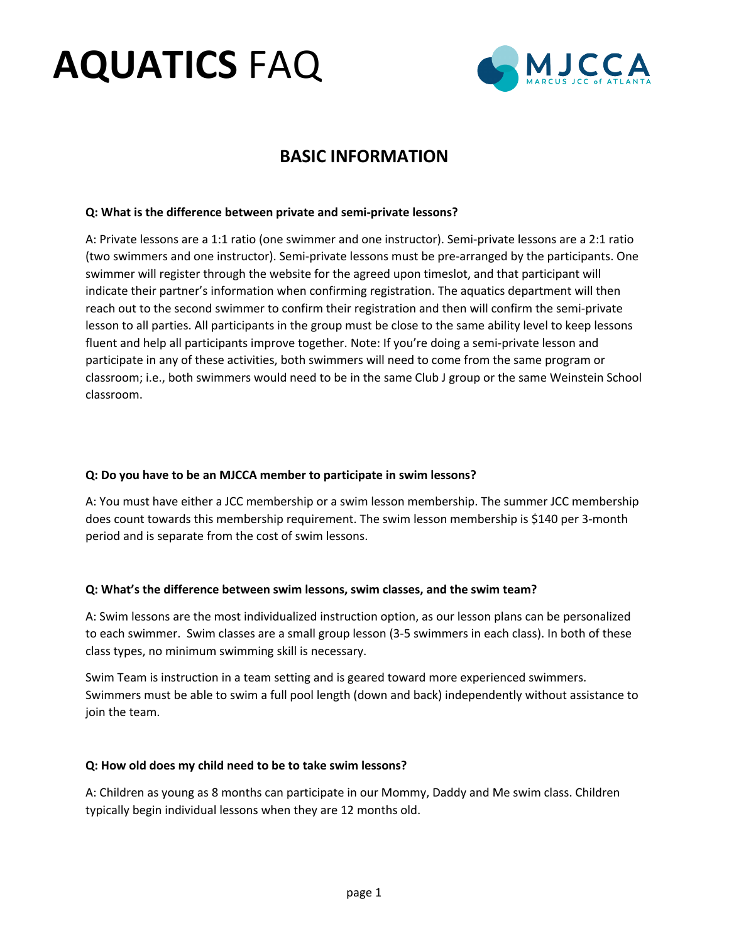# **AQUATICS** FAQ



# **BASIC INFORMATION**

# **Q: What is the difference between private and semi-private lessons?**

A: Private lessons are a 1:1 ratio (one swimmer and one instructor). Semi-private lessons are a 2:1 ratio (two swimmers and one instructor). Semi-private lessons must be pre-arranged by the participants. One swimmer will register through the website for the agreed upon timeslot, and that participant will indicate their partner's information when confirming registration. The aquatics department will then reach out to the second swimmer to confirm their registration and then will confirm the semi-private lesson to all parties. All participants in the group must be close to the same ability level to keep lessons fluent and help all participants improve together. Note: If you're doing a semi-private lesson and participate in any of these activities, both swimmers will need to come from the same program or classroom; i.e., both swimmers would need to be in the same Club J group or the same Weinstein School classroom.

# **Q: Do you have to be an MJCCA member to participate in swim lessons?**

A: You must have either a JCC membership or a swim lesson membership. The summer JCC membership does count towards this membership requirement. The swim lesson membership is \$140 per 3-month period and is separate from the cost of swim lessons.

# **Q: What's the difference between swim lessons, swim classes, and the swim team?**

A: Swim lessons are the most individualized instruction option, as our lesson plans can be personalized to each swimmer. Swim classes are a small group lesson (3-5 swimmers in each class). In both of these class types, no minimum swimming skill is necessary.

Swim Team is instruction in a team setting and is geared toward more experienced swimmers. Swimmers must be able to swim a full pool length (down and back) independently without assistance to join the team.

# **Q: How old does my child need to be to take swim lessons?**

A: Children as young as 8 months can participate in our Mommy, Daddy and Me swim class. Children typically begin individual lessons when they are 12 months old.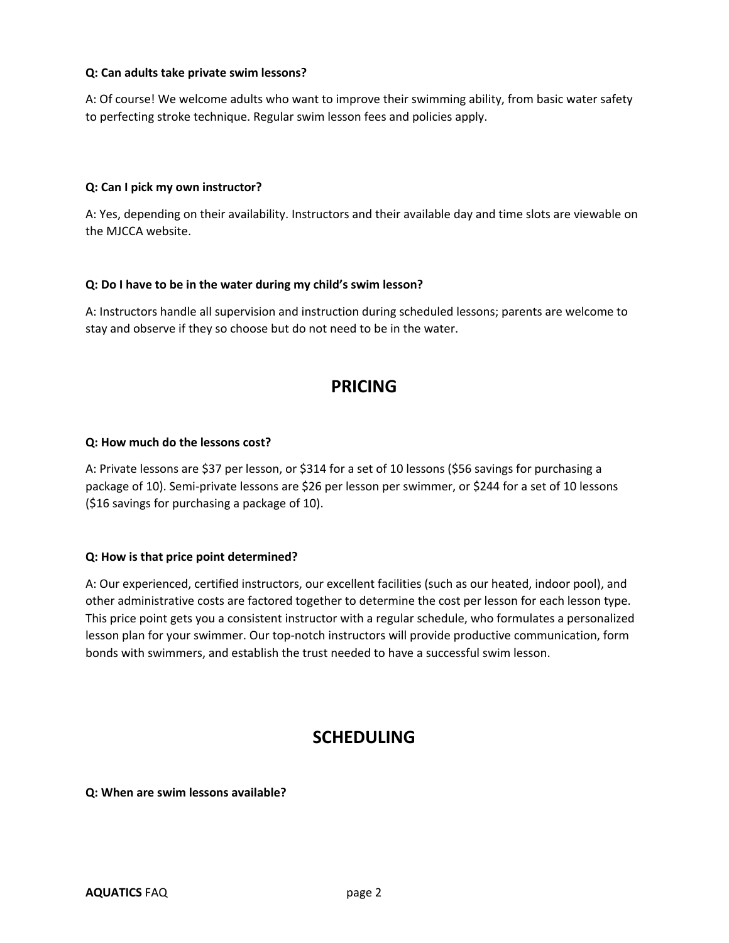#### **Q: Can adults take private swim lessons?**

A: Of course! We welcome adults who want to improve their swimming ability, from basic water safety to perfecting stroke technique. Regular swim lesson fees and policies apply.

#### **Q: Can I pick my own instructor?**

A: Yes, depending on their availability. Instructors and their available day and time slots are viewable on the MJCCA website.

#### **Q: Do I have to be in the water during my child's swim lesson?**

A: Instructors handle all supervision and instruction during scheduled lessons; parents are welcome to stay and observe if they so choose but do not need to be in the water.

# **PRICING**

#### **Q: How much do the lessons cost?**

A: Private lessons are \$37 per lesson, or \$314 for a set of 10 lessons (\$56 savings for purchasing a package of 10). Semi-private lessons are \$26 per lesson per swimmer, or \$244 for a set of 10 lessons (\$16 savings for purchasing a package of 10).

# **Q: How is that price point determined?**

A: Our experienced, certified instructors, our excellent facilities (such as our heated, indoor pool), and other administrative costs are factored together to determine the cost per lesson for each lesson type. This price point gets you a consistent instructor with a regular schedule, who formulates a personalized lesson plan for your swimmer. Our top-notch instructors will provide productive communication, form bonds with swimmers, and establish the trust needed to have a successful swim lesson.

# **SCHEDULING**

#### **Q: When are swim lessons available?**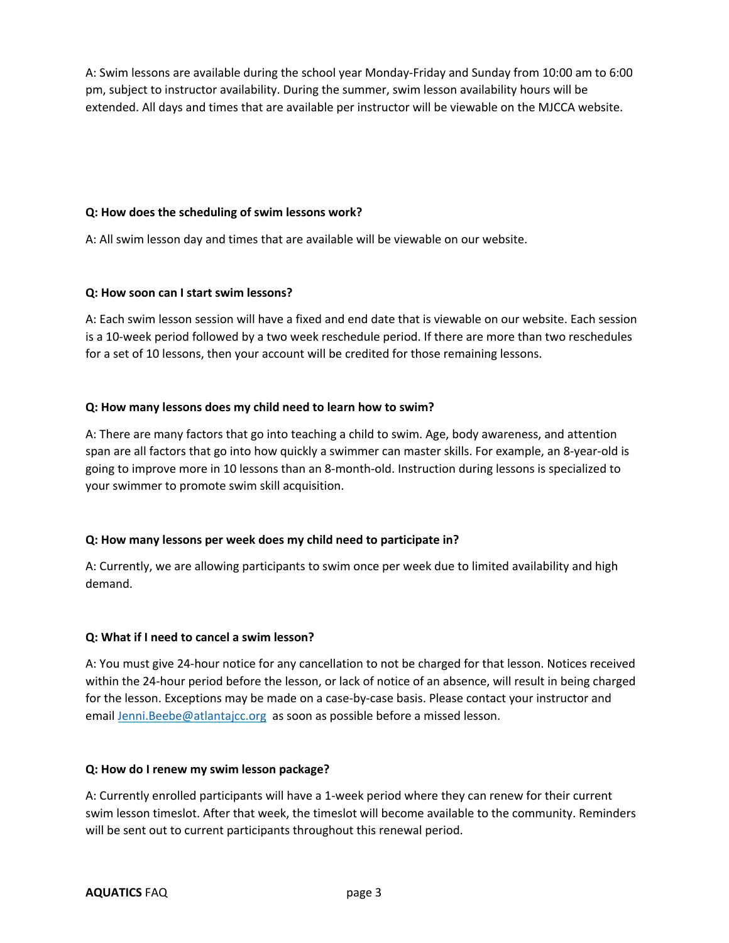A: Swim lessons are available during the school year Monday-Friday and Sunday from 10:00 am to 6:00 pm, subject to instructor availability. During the summer, swim lesson availability hours will be extended. All days and times that are available per instructor will be viewable on the MJCCA website.

# **Q: How does the scheduling of swim lessons work?**

A: All swim lesson day and times that are available will be viewable on our website.

# **Q: How soon can I start swim lessons?**

A: Each swim lesson session will have a fixed and end date that is viewable on our website. Each session is a 10-week period followed by a two week reschedule period. If there are more than two reschedules for a set of 10 lessons, then your account will be credited for those remaining lessons.

# **Q: How many lessons does my child need to learn how to swim?**

A: There are many factors that go into teaching a child to swim. Age, body awareness, and attention span are all factors that go into how quickly a swimmer can master skills. For example, an 8-year-old is going to improve more in 10 lessons than an 8-month-old. Instruction during lessons is specialized to your swimmer to promote swim skill acquisition.

# **Q: How many lessons per week does my child need to participate in?**

A: Currently, we are allowing participants to swim once per week due to limited availability and high demand.

# **Q: What if I need to cancel a swim lesson?**

A: You must give 24-hour notice for any cancellation to not be charged for that lesson. Notices received within the 24-hour period before the lesson, or lack of notice of an absence, will result in being charged for the lesson. Exceptions may be made on a case-by-case basis. Please contact your instructor and email Jenni.Beebe@atlantajcc.org as soon as possible before a missed lesson.

# **Q: How do I renew my swim lesson package?**

A: Currently enrolled participants will have a 1-week period where they can renew for their current swim lesson timeslot. After that week, the timeslot will become available to the community. Reminders will be sent out to current participants throughout this renewal period.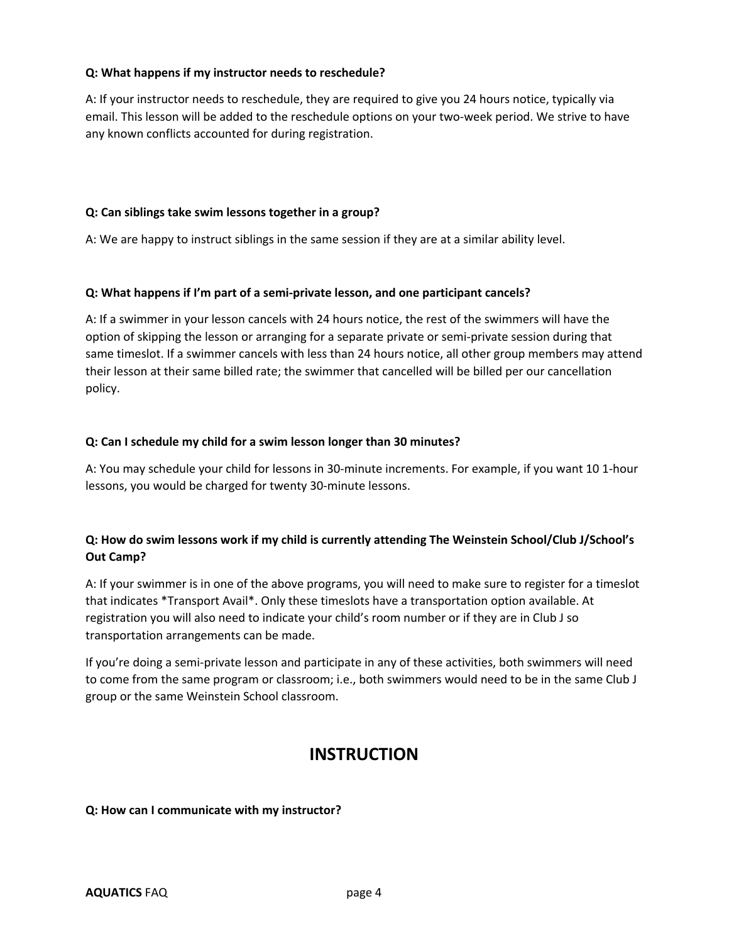# **Q: What happens if my instructor needs to reschedule?**

A: If your instructor needs to reschedule, they are required to give you 24 hours notice, typically via email. This lesson will be added to the reschedule options on your two-week period. We strive to have any known conflicts accounted for during registration.

# **Q: Can siblings take swim lessons together in a group?**

A: We are happy to instruct siblings in the same session if they are at a similar ability level.

# **Q: What happens if I'm part of a semi-private lesson, and one participant cancels?**

A: If a swimmer in your lesson cancels with 24 hours notice, the rest of the swimmers will have the option of skipping the lesson or arranging for a separate private or semi-private session during that same timeslot. If a swimmer cancels with less than 24 hours notice, all other group members may attend their lesson at their same billed rate; the swimmer that cancelled will be billed per our cancellation policy.

# **Q: Can I schedule my child for a swim lesson longer than 30 minutes?**

A: You may schedule your child for lessons in 30-minute increments. For example, if you want 10 1-hour lessons, you would be charged for twenty 30-minute lessons.

# **Q: How do swim lessons work if my child is currently attending The Weinstein School/Club J/School's Out Camp?**

A: If your swimmer is in one of the above programs, you will need to make sure to register for a timeslot that indicates \*Transport Avail\*. Only these timeslots have a transportation option available. At registration you will also need to indicate your child's room number or if they are in Club J so transportation arrangements can be made.

If you're doing a semi-private lesson and participate in any of these activities, both swimmers will need to come from the same program or classroom; i.e., both swimmers would need to be in the same Club J group or the same Weinstein School classroom.

# **INSTRUCTION**

# **Q: How can I communicate with my instructor?**